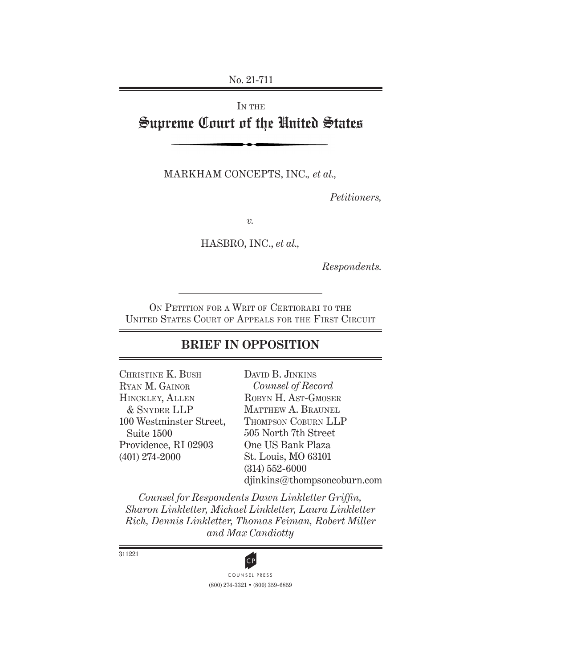No. 21-711

# IN THE Supreme Court of the United States

MARKHAM CONCEPTS, INC.*, et al.,* 

*Petitioners,*

*v.*

HASBRO, INC., *et al.,*

*Respondents.*

ON PETITION FOR A WRIT OF CERTIORARI TO THE United States Court of Appeals for the First Circuit

## **BRIEF IN OPPOSITION**

Christine K. Bush Ryan M. Gainor Hinckley, Allen & Snyder LLP 100 Westminster Street, Suite 1500 Providence, RI 02903 (401) 274-2000

DAVID B. JINKINS *Counsel of Record* Robyn H. Ast-Gmoser MATTHEW A. BRAUNEL Thompson Coburn LLP 505 North 7th Street One US Bank Plaza St. Louis, MO 63101 (314) 552-6000 djinkins@thompsoncoburn.com

*Counsel for Respondents Dawn Linkletter Griffin, Sharon Linkletter, Michael Linkletter, Laura Linkletter Rich, Dennis Linkletter, Thomas Feiman, Robert Miller and Max Candiotty*



(800) 274-3321 • (800) 359-6859 **CP**<br>COUNSEL PRESS

311221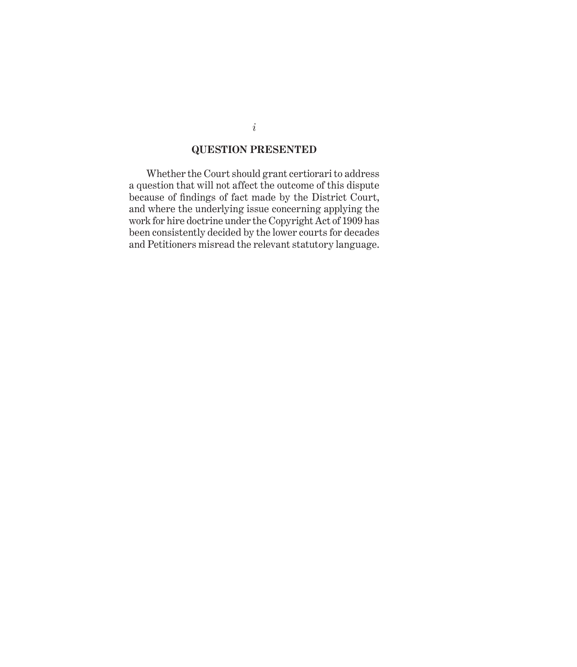### **QUESTION PRESENTED**

Whether the Court should grant certiorari to address a question that will not affect the outcome of this dispute because of findings of fact made by the District Court, and where the underlying issue concerning applying the work for hire doctrine under the Copyright Act of 1909 has been consistently decided by the lower courts for decades and Petitioners misread the relevant statutory language.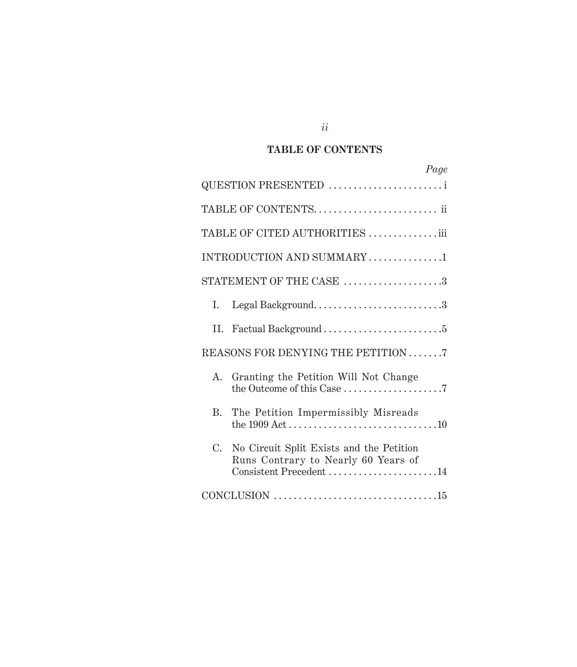# **TABLE OF CONTENTS**

| Page                                                                                                                         |
|------------------------------------------------------------------------------------------------------------------------------|
| QUESTION PRESENTED                                                                                                           |
| TABLE OF CONTENTS ii                                                                                                         |
| TABLE OF CITED AUTHORITIES iii                                                                                               |
| INTRODUCTION AND SUMMARY1                                                                                                    |
| STATEMENT OF THE CASE 3                                                                                                      |
| Legal Background3<br>Ι.                                                                                                      |
|                                                                                                                              |
| REASONS FOR DENYING THE PETITION 7                                                                                           |
| Granting the Petition Will Not Change<br>A.                                                                                  |
| The Petition Impermissibly Misreads<br>B.                                                                                    |
| C <sub>z</sub><br>No Circuit Split Exists and the Petition<br>Runs Contrary to Nearly 60 Years of<br>Consistent Precedent 14 |
|                                                                                                                              |

*ii*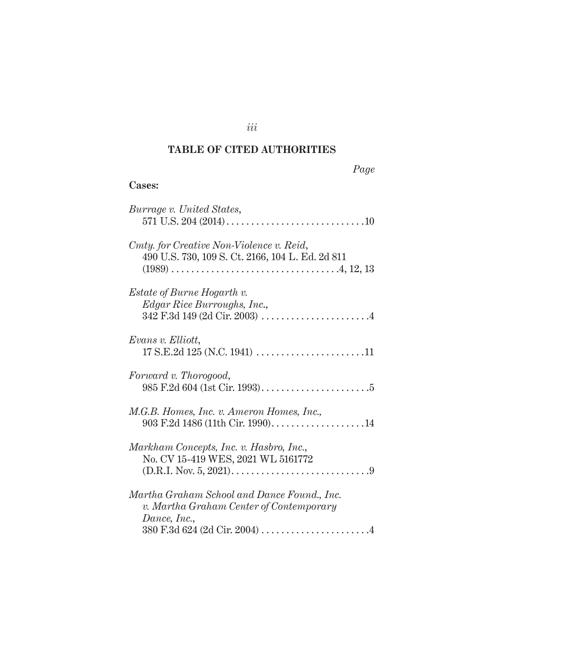# **TABLE OF CITED AUTHORITIES**

*iii*

| ,,, |
|-----|
|-----|

### **Cases:**

| Burrage v. United States,                                                                    |
|----------------------------------------------------------------------------------------------|
| Cmty. for Creative Non-Violence v. Reid,<br>490 U.S. 730, 109 S. Ct. 2166, 104 L. Ed. 2d 811 |
| <i>Estate of Burne Hogarth v.</i><br>Edgar Rice Burroughs, Inc.,                             |
| Evans v. Elliott,                                                                            |
| Forward v. Thorogood,                                                                        |
| M.G.B. Homes, Inc. v. Ameron Homes, Inc.,<br>903 F.2d 1486 (11th Cir. 1990)14                |
| Markham Concepts, Inc. v. Hasbro, Inc.,<br>No. CV 15-419 WES, 2021 WL 5161772                |
| Martha Graham School and Dance Found., Inc.<br>v. Martha Graham Center of Contemporary       |
| Dance, Inc.,                                                                                 |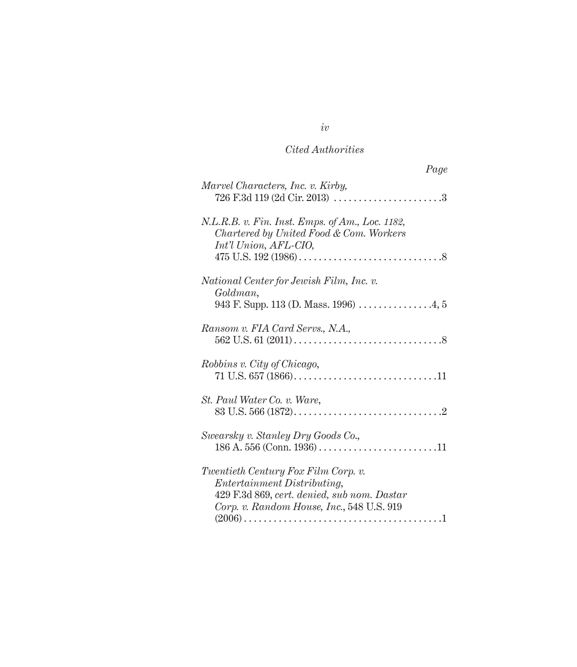# *Cited Authorities*

| Page                                                                                                                                                                  |
|-----------------------------------------------------------------------------------------------------------------------------------------------------------------------|
| Marvel Characters, Inc. v. Kirby,<br>726 F.3d 119 (2d Cir. 2013) 3                                                                                                    |
| N.L.R.B. v. Fin. Inst. Emps. of Am., Loc. 1182,<br>Chartered by United Food & Com. Workers<br>Int'l Union, AFL-CIO,                                                   |
| National Center for Jewish Film, Inc. v.<br>Goldman,                                                                                                                  |
| Ransom v. FIA Card Servs., N.A.,                                                                                                                                      |
| Robbins v. City of Chicago,                                                                                                                                           |
| St. Paul Water Co. v. Ware,                                                                                                                                           |
| Swearsky v. Stanley Dry Goods Co.,                                                                                                                                    |
| Twentieth Century Fox Film Corp. v.<br><i>Entertainment Distributing,</i><br>429 F.3d 869, cert. denied, sub nom. Dastar<br>Corp. v. Random House, Inc., 548 U.S. 919 |

*iv*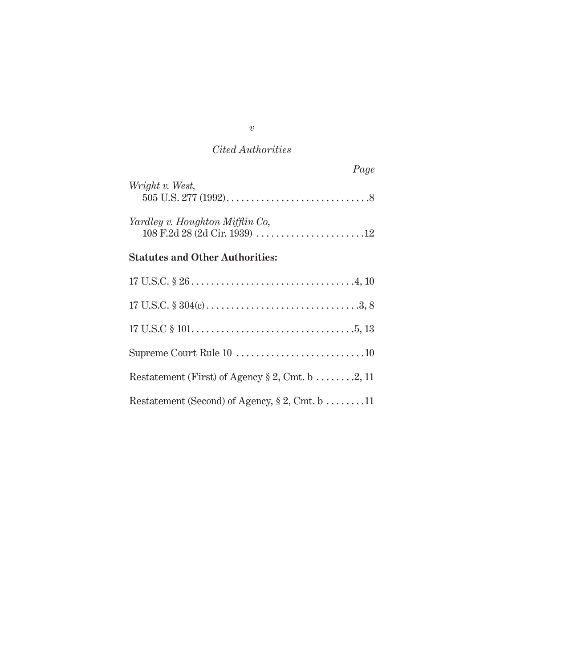## *Cited Authorities*

|                                 | Page |
|---------------------------------|------|
| Wright v. West,                 |      |
|                                 |      |
| Yardley v. Houghton Mifflin Co, |      |
|                                 |      |

# **Statutes and Other Authorities:**

| $17 \text{ U.S.C} \$ $101 \ldots \ldots \ldots \ldots \ldots \ldots \ldots \ldots \ldots \ldots \ldots \ldots \ldots 5, 13$ |
|-----------------------------------------------------------------------------------------------------------------------------|
| Supreme Court Rule 10 10                                                                                                    |
| Restatement (First) of Agency $\S 2$ , Cmt. b 11                                                                            |
| Restatement (Second) of Agency, $\S 2$ , Cmt. b 11                                                                          |

*v*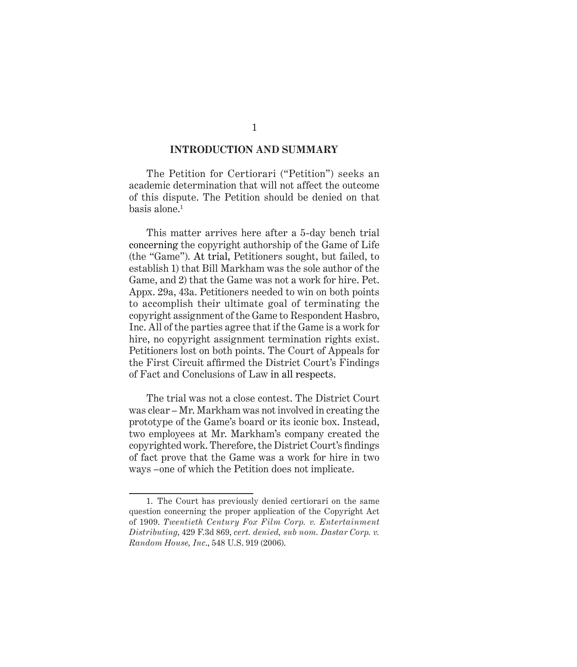#### **INTRODUCTION AND SUMMARY**

The Petition for Certiorari ("Petition") seeks an academic determination that will not affect the outcome of this dispute. The Petition should be denied on that basis alone.<sup>1</sup>

This matter arrives here after a 5-day bench trial concerning the copyright authorship of the Game of Life (the "Game"). At trial, Petitioners sought, but failed, to establish 1) that Bill Markham was the sole author of the Game, and 2) that the Game was not a work for hire. Pet. Appx. 29a, 43a. Petitioners needed to win on both points to accomplish their ultimate goal of terminating the copyright assignment of the Game to Respondent Hasbro, Inc. All of the parties agree that if the Game is a work for hire, no copyright assignment termination rights exist. Petitioners lost on both points. The Court of Appeals for the First Circuit affirmed the District Court's Findings of Fact and Conclusions of Law in all respects.

The trial was not a close contest. The District Court was clear – Mr. Markham was not involved in creating the prototype of the Game's board or its iconic box. Instead, two employees at Mr. Markham's company created the copyrighted work. Therefore, the District Court's findings of fact prove that the Game was a work for hire in two ways –one of which the Petition does not implicate.

<sup>1.</sup> The Court has previously denied certiorari on the same question concerning the proper application of the Copyright Act of 1909. *Twentieth Century Fox Film Corp. v. Entertainment Distributing*, 429 F.3d 869, *cert. denied, sub nom. Dastar Corp. v. Random House, Inc*., 548 U.S. 919 (2006).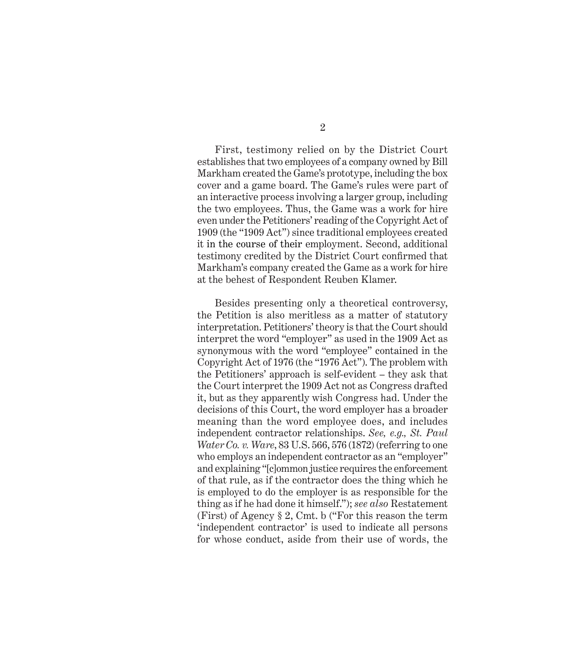First, testimony relied on by the District Court establishes that two employees of a company owned by Bill Markham created the Game's prototype, including the box cover and a game board. The Game's rules were part of an interactive process involving a larger group, including the two employees. Thus, the Game was a work for hire even under the Petitioners' reading of the Copyright Act of 1909 (the "1909 Act") since traditional employees created it in the course of their employment. Second, additional testimony credited by the District Court confirmed that Markham's company created the Game as a work for hire at the behest of Respondent Reuben Klamer.

Besides presenting only a theoretical controversy, the Petition is also meritless as a matter of statutory interpretation. Petitioners' theory is that the Court should interpret the word "employer" as used in the 1909 Act as synonymous with the word "employee" contained in the Copyright Act of 1976 (the "1976 Act"). The problem with the Petitioners' approach is self-evident – they ask that the Court interpret the 1909 Act not as Congress drafted it, but as they apparently wish Congress had. Under the decisions of this Court, the word employer has a broader meaning than the word employee does, and includes independent contractor relationships. *See, e.g., St. Paul Water Co. v. Ware*, 83 U.S. 566, 576 (1872) (referring to one who employs an independent contractor as an "employer" and explaining "[c]ommon justice requires the enforcement of that rule, as if the contractor does the thing which he is employed to do the employer is as responsible for the thing as if he had done it himself."); *see also* Restatement (First) of Agency § 2, Cmt. b ("For this reason the term 'independent contractor' is used to indicate all persons for whose conduct, aside from their use of words, the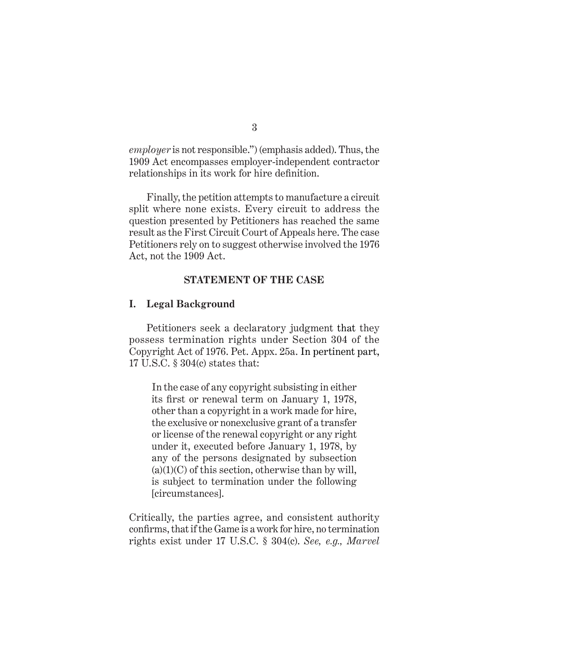*employer* is not responsible.") (emphasis added). Thus, the 1909 Act encompasses employer-independent contractor relationships in its work for hire definition.

Finally, the petition attempts to manufacture a circuit split where none exists. Every circuit to address the question presented by Petitioners has reached the same result as the First Circuit Court of Appeals here. The case Petitioners rely on to suggest otherwise involved the 1976 Act, not the 1909 Act.

#### **STATEMENT OF THE CASE**

#### **I. Legal Background**

Petitioners seek a declaratory judgment that they possess termination rights under Section 304 of the Copyright Act of 1976. Pet. Appx. 25a. In pertinent part, 17 U.S.C. § 304(c) states that:

In the case of any copyright subsisting in either its first or renewal term on January 1, 1978, other than a copyright in a work made for hire, the exclusive or nonexclusive grant of a transfer or license of the renewal copyright or any right under it, executed before January 1, 1978, by any of the persons designated by subsection  $(a)(1)(C)$  of this section, otherwise than by will, is subject to termination under the following [circumstances].

Critically, the parties agree, and consistent authority confirms, that if the Game is a work for hire, no termination rights exist under 17 U.S.C. § 304(c). *See, e.g., Marvel*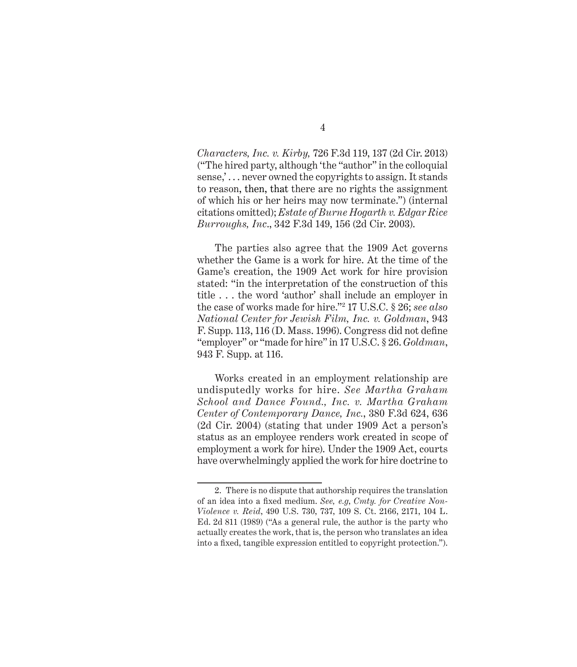*Characters, Inc. v. Kirby,* 726 F.3d 119, 137 (2d Cir. 2013) ("The hired party, although 'the "author" in the colloquial sense,' . . . never owned the copyrights to assign. It stands to reason, then, that there are no rights the assignment of which his or her heirs may now terminate.") (internal citations omitted); *Estate of Burne Hogarth v. Edgar Rice Burroughs, Inc*., 342 F.3d 149, 156 (2d Cir. 2003).

The parties also agree that the 1909 Act governs whether the Game is a work for hire. At the time of the Game's creation, the 1909 Act work for hire provision stated: "in the interpretation of the construction of this title . . . the word 'author' shall include an employer in the case of works made for hire."2 17 U.S.C. § 26; *see also National Center for Jewish Film, Inc. v. Goldman*, 943 F. Supp. 113, 116 (D. Mass. 1996). Congress did not define "employer" or "made for hire" in 17 U.S.C. § 26. *Goldman*, 943 F. Supp. at 116.

Works created in an employment relationship are undisputedly works for hire. *See Martha Graham School and Dance Found., Inc. v. Martha Graham Center of Contemporary Dance, Inc.*, 380 F.3d 624, 636 (2d Cir. 2004) (stating that under 1909 Act a person's status as an employee renders work created in scope of employment a work for hire). Under the 1909 Act, courts have overwhelmingly applied the work for hire doctrine to

4

<sup>2.</sup> There is no dispute that authorship requires the translation of an idea into a fixed medium. *See, e.g*, *Cmty. for Creative Non-Violence v. Reid*, 490 U.S. 730, 737, 109 S. Ct. 2166, 2171, 104 L. Ed. 2d 811 (1989) ("As a general rule, the author is the party who actually creates the work, that is, the person who translates an idea into a fixed, tangible expression entitled to copyright protection.").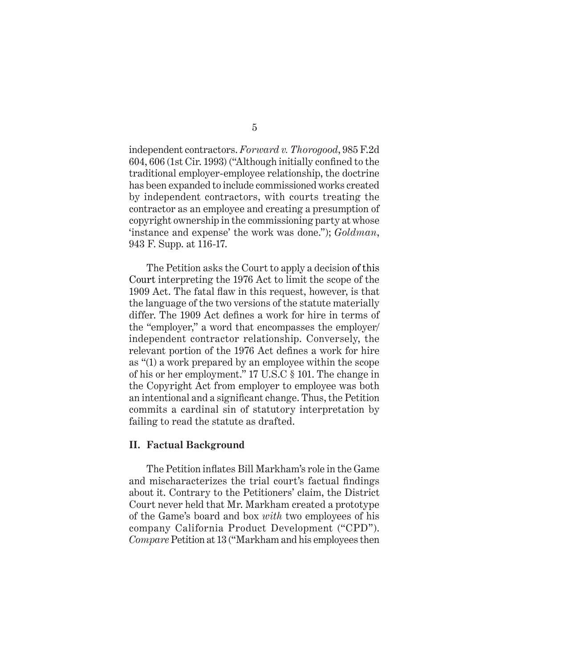independent contractors. *Forward v. Thorogood*, 985 F.2d 604, 606 (1st Cir. 1993) ("Although initially confined to the traditional employer-employee relationship, the doctrine has been expanded to include commissioned works created by independent contractors, with courts treating the contractor as an employee and creating a presumption of copyright ownership in the commissioning party at whose 'instance and expense' the work was done."); *Goldman*, 943 F. Supp. at 116-17.

The Petition asks the Court to apply a decision of this Court interpreting the 1976 Act to limit the scope of the 1909 Act. The fatal flaw in this request, however, is that the language of the two versions of the statute materially differ. The 1909 Act defines a work for hire in terms of the "employer," a word that encompasses the employer/ independent contractor relationship. Conversely, the relevant portion of the 1976 Act defines a work for hire as "(1) a work prepared by an employee within the scope of his or her employment." 17 U.S.C § 101. The change in the Copyright Act from employer to employee was both an intentional and a significant change. Thus, the Petition commits a cardinal sin of statutory interpretation by failing to read the statute as drafted.

#### **II. Factual Background**

The Petition inflates Bill Markham's role in the Game and mischaracterizes the trial court's factual findings about it. Contrary to the Petitioners' claim, the District Court never held that Mr. Markham created a prototype of the Game's board and box *with* two employees of his company California Product Development ("CPD"). *Compare* Petition at 13 ("Markham and his employees then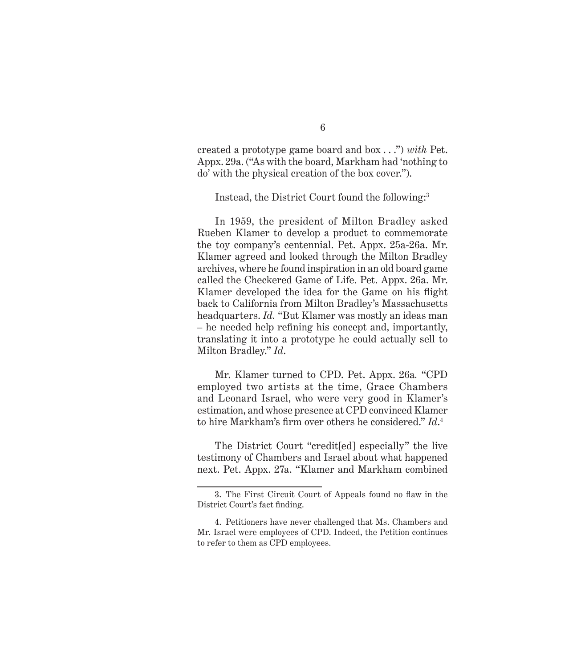created a prototype game board and box . . .") *with* Pet. Appx. 29a. ("As with the board, Markham had 'nothing to do' with the physical creation of the box cover.").

Instead, the District Court found the following:<sup>3</sup>

In 1959, the president of Milton Bradley asked Rueben Klamer to develop a product to commemorate the toy company's centennial. Pet. Appx. 25a-26a. Mr. Klamer agreed and looked through the Milton Bradley archives, where he found inspiration in an old board game called the Checkered Game of Life. Pet. Appx. 26a. Mr. Klamer developed the idea for the Game on his flight back to California from Milton Bradley's Massachusetts headquarters. *Id.* "But Klamer was mostly an ideas man – he needed help refining his concept and, importantly, translating it into a prototype he could actually sell to Milton Bradley." *Id*.

Mr. Klamer turned to CPD. Pet. Appx. 26a*.* "CPD employed two artists at the time, Grace Chambers and Leonard Israel, who were very good in Klamer's estimation, and whose presence at CPD convinced Klamer to hire Markham's firm over others he considered." *Id*. 4

The District Court "credit[ed] especially" the live testimony of Chambers and Israel about what happened next. Pet. Appx. 27a. "Klamer and Markham combined

<sup>3.</sup> The First Circuit Court of Appeals found no flaw in the District Court's fact finding.

<sup>4.</sup> Petitioners have never challenged that Ms. Chambers and Mr. Israel were employees of CPD. Indeed, the Petition continues to refer to them as CPD employees.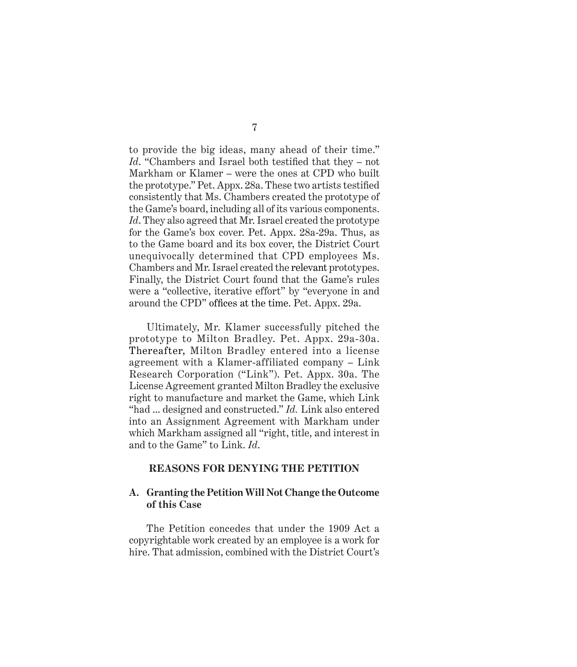to provide the big ideas, many ahead of their time." *Id*. "Chambers and Israel both testified that they – not Markham or Klamer – were the ones at CPD who built the prototype." Pet. Appx. 28a. These two artists testified consistently that Ms. Chambers created the prototype of the Game's board, including all of its various components. *Id*. They also agreed that Mr. Israel created the prototype for the Game's box cover. Pet. Appx. 28a-29a. Thus, as to the Game board and its box cover, the District Court unequivocally determined that CPD employees Ms. Chambers and Mr. Israel created the relevant prototypes. Finally, the District Court found that the Game's rules were a "collective, iterative effort" by "everyone in and around the CPD" offices at the time. Pet. Appx. 29a.

Ultimately, Mr. Klamer successfully pitched the prototype to Milton Bradley. Pet. Appx. 29a-30a. Thereafter, Milton Bradley entered into a license agreement with a Klamer-affiliated company – Link Research Corporation ("Link"). Pet. Appx. 30a. The License Agreement granted Milton Bradley the exclusive right to manufacture and market the Game, which Link "had ... designed and constructed." *Id.* Link also entered into an Assignment Agreement with Markham under which Markham assigned all "right, title, and interest in and to the Game" to Link. *Id*.

#### **REASONS FOR DENYING THE PETITION**

#### **A. Granting the Petition Will Not Change the Outcome of this Case**

The Petition concedes that under the 1909 Act a copyrightable work created by an employee is a work for hire. That admission, combined with the District Court's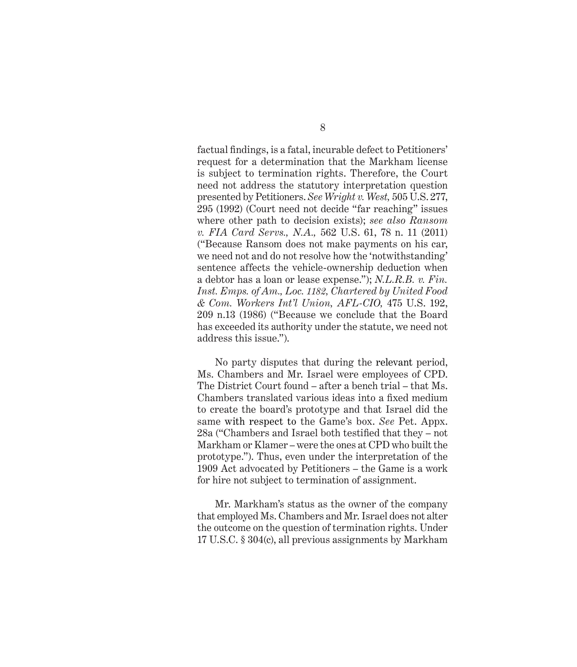factual findings, is a fatal, incurable defect to Petitioners' request for a determination that the Markham license is subject to termination rights. Therefore, the Court need not address the statutory interpretation question presented by Petitioners. *See Wright v. West,* 505 U.S. 277, 295 (1992) (Court need not decide "far reaching" issues where other path to decision exists); *see also Ransom v. FIA Card Servs., N.A.,* 562 U.S. 61, 78 n. 11 (2011) ("Because Ransom does not make payments on his car, we need not and do not resolve how the 'notwithstanding' sentence affects the vehicle-ownership deduction when a debtor has a loan or lease expense."); *N.L.R.B. v. Fin. Inst. Emps. of Am., Loc. 1182, Chartered by United Food & Com. Workers Int'l Union, AFL-CIO,* 475 U.S. 192, 209 n.13 (1986) ("Because we conclude that the Board has exceeded its authority under the statute, we need not address this issue.").

No party disputes that during the relevant period, Ms. Chambers and Mr. Israel were employees of CPD. The District Court found – after a bench trial – that Ms. Chambers translated various ideas into a fixed medium to create the board's prototype and that Israel did the same with respect to the Game's box. *See* Pet. Appx. 28a ("Chambers and Israel both testified that they – not Markham or Klamer – were the ones at CPD who built the prototype."). Thus, even under the interpretation of the 1909 Act advocated by Petitioners – the Game is a work for hire not subject to termination of assignment.

Mr. Markham's status as the owner of the company that employed Ms. Chambers and Mr. Israel does not alter the outcome on the question of termination rights. Under 17 U.S.C. § 304(c), all previous assignments by Markham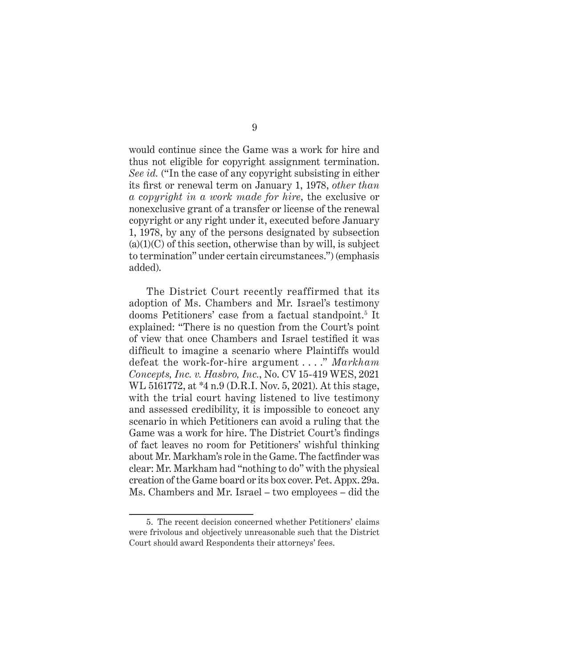would continue since the Game was a work for hire and thus not eligible for copyright assignment termination. *See id.* ("In the case of any copyright subsisting in either its first or renewal term on January 1, 1978, *other than a copyright in a work made for hire*, the exclusive or nonexclusive grant of a transfer or license of the renewal copyright or any right under it, executed before January 1, 1978, by any of the persons designated by subsection  $(a)(1)(C)$  of this section, otherwise than by will, is subject to termination" under certain circumstances.") (emphasis added).

The District Court recently reaffirmed that its adoption of Ms. Chambers and Mr. Israel's testimony dooms Petitioners' case from a factual standpoint.<sup>5</sup> It explained: "There is no question from the Court's point of view that once Chambers and Israel testified it was difficult to imagine a scenario where Plaintiffs would defeat the work-for-hire argument . . . ." *Markham Concepts, Inc. v. Hasbro, Inc.*, No. CV 15-419 WES, 2021 WL 5161772, at \*4 n.9 (D.R.I. Nov. 5, 2021). At this stage, with the trial court having listened to live testimony and assessed credibility, it is impossible to concoct any scenario in which Petitioners can avoid a ruling that the Game was a work for hire. The District Court's findings of fact leaves no room for Petitioners' wishful thinking about Mr. Markham's role in the Game. The factfinder was clear: Mr. Markham had "nothing to do" with the physical creation of the Game board or its box cover. Pet. Appx. 29a. Ms. Chambers and Mr. Israel – two employees – did the

<sup>5.</sup> The recent decision concerned whether Petitioners' claims were frivolous and objectively unreasonable such that the District Court should award Respondents their attorneys' fees.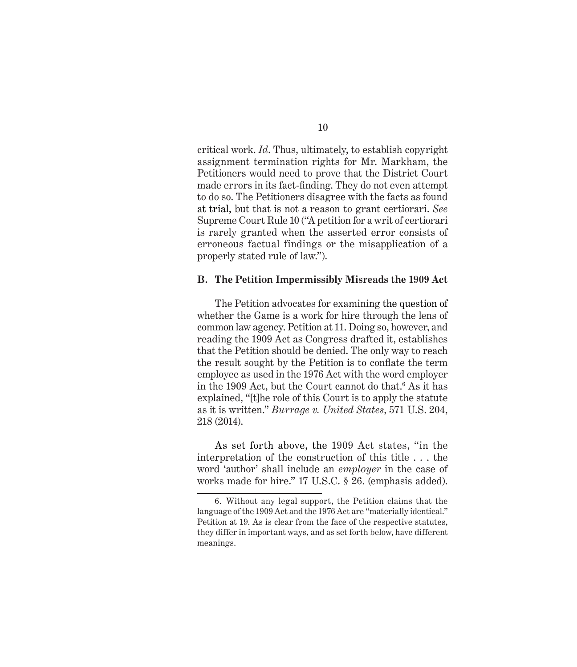critical work. *Id*. Thus, ultimately, to establish copyright assignment termination rights for Mr. Markham, the Petitioners would need to prove that the District Court made errors in its fact-finding. They do not even attempt to do so. The Petitioners disagree with the facts as found at trial, but that is not a reason to grant certiorari. *See*  Supreme Court Rule 10 ("A petition for a writ of certiorari is rarely granted when the asserted error consists of erroneous factual findings or the misapplication of a properly stated rule of law.").

#### **B. The Petition Impermissibly Misreads the 1909 Act**

The Petition advocates for examining the question of whether the Game is a work for hire through the lens of common law agency. Petition at 11. Doing so, however, and reading the 1909 Act as Congress drafted it, establishes that the Petition should be denied. The only way to reach the result sought by the Petition is to conflate the term employee as used in the 1976 Act with the word employer in the 1909 Act, but the Court cannot do that.6 As it has explained, "[t]he role of this Court is to apply the statute as it is written." *Burrage v. United States*, 571 U.S. 204, 218 (2014).

As set forth above, the 1909 Act states, "in the interpretation of the construction of this title . . . the word 'author' shall include an *employer* in the case of works made for hire." 17 U.S.C. § 26. (emphasis added).

<sup>6.</sup> Without any legal support, the Petition claims that the language of the 1909 Act and the 1976 Act are "materially identical." Petition at 19. As is clear from the face of the respective statutes, they differ in important ways, and as set forth below, have different meanings.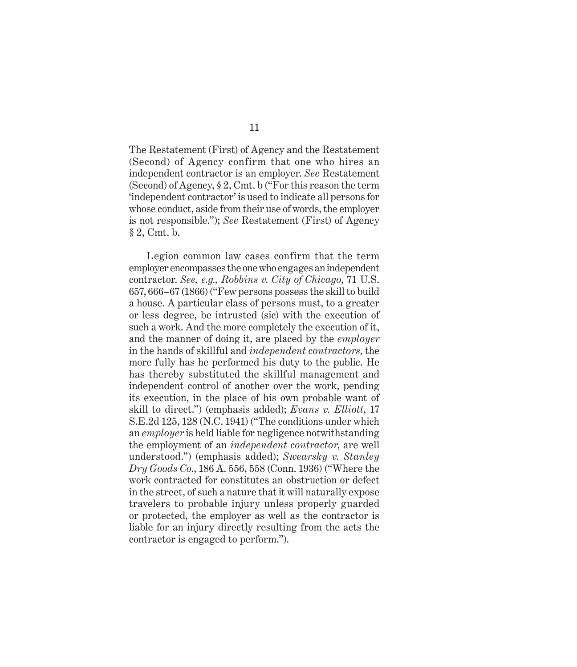The Restatement (First) of Agency and the Restatement (Second) of Agency confirm that one who hires an independent contractor is an employer. *See* Restatement (Second) of Agency, § 2, Cmt. b ("For this reason the term 'independent contractor' is used to indicate all persons for whose conduct, aside from their use of words, the employer is not responsible."); *See* Restatement (First) of Agency § 2, Cmt. b.

Legion common law cases confirm that the term employer encompasses the one who engages an independent contractor. *See, e.g., Robbins v. City of Chicago*, 71 U.S. 657, 666–67 (1866) ("Few persons possess the skill to build a house. A particular class of persons must, to a greater or less degree, be intrusted (sic) with the execution of such a work. And the more completely the execution of it, and the manner of doing it, are placed by the *employer* in the hands of skillful and *independent contractors*, the more fully has he performed his duty to the public. He has thereby substituted the skillful management and independent control of another over the work, pending its execution, in the place of his own probable want of skill to direct.") (emphasis added); *Evans v. Elliott*, 17 S.E.2d 125, 128 (N.C. 1941) ("The conditions under which an *employer* is held liable for negligence notwithstanding the employment of an *independent contractor*, are well understood.") (emphasis added); *Swearsky v. Stanley Dry Goods Co*., 186 A. 556, 558 (Conn. 1936) ("Where the work contracted for constitutes an obstruction or defect in the street, of such a nature that it will naturally expose travelers to probable injury unless properly guarded or protected, the employer as well as the contractor is liable for an injury directly resulting from the acts the contractor is engaged to perform.").

11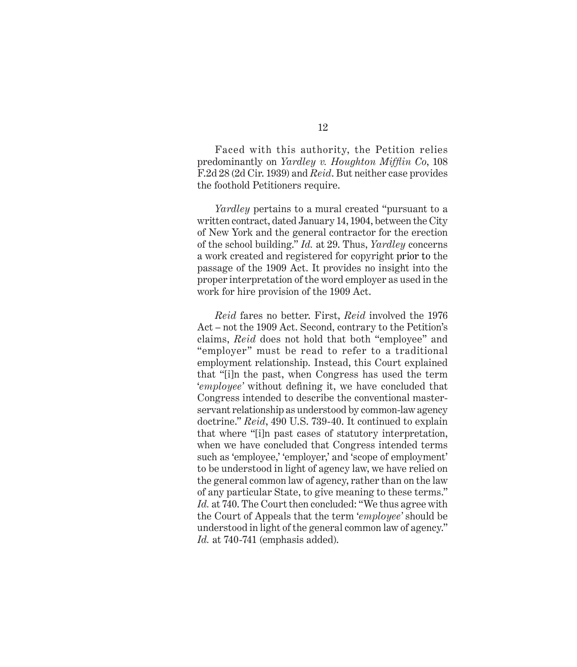Faced with this authority, the Petition relies predominantly on *Yardley v. Houghton Mifflin Co*, 108 F.2d 28 (2d Cir. 1939) and *Reid*. But neither case provides the foothold Petitioners require.

*Yardley* pertains to a mural created "pursuant to a written contract, dated January 14, 1904, between the City of New York and the general contractor for the erection of the school building." *Id.* at 29. Thus, *Yardley* concerns a work created and registered for copyright prior to the passage of the 1909 Act. It provides no insight into the proper interpretation of the word employer as used in the work for hire provision of the 1909 Act.

*Reid* fares no better. First, *Reid* involved the 1976 Act – not the 1909 Act. Second, contrary to the Petition's claims, *Reid* does not hold that both "employee" and "employer" must be read to refer to a traditional employment relationship. Instead, this Court explained that "[i]n the past, when Congress has used the term '*employee'* without defining it, we have concluded that Congress intended to describe the conventional masterservant relationship as understood by common-law agency doctrine." *Reid*, 490 U.S. 739-40. It continued to explain that where "[i]n past cases of statutory interpretation, when we have concluded that Congress intended terms such as 'employee,' 'employer,' and 'scope of employment' to be understood in light of agency law, we have relied on the general common law of agency, rather than on the law of any particular State, to give meaning to these terms." *Id.* at 740. The Court then concluded: "We thus agree with the Court of Appeals that the term '*employee'* should be understood in light of the general common law of agency." *Id.* at 740-741 (emphasis added).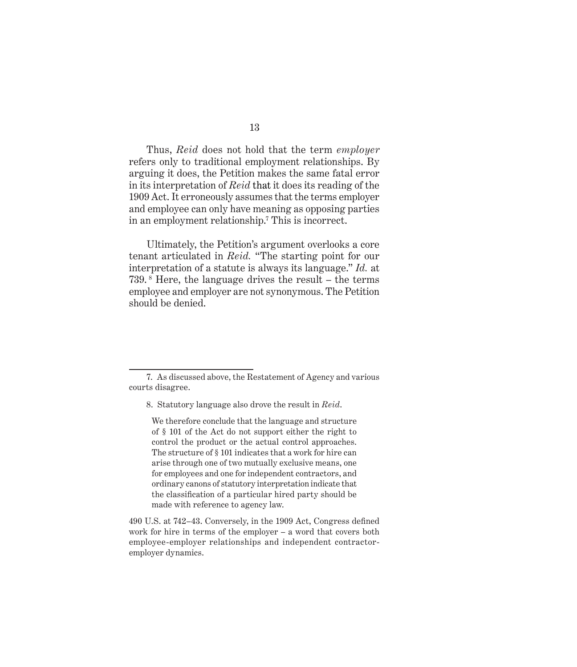Thus, *Reid* does not hold that the term *employer* refers only to traditional employment relationships. By arguing it does, the Petition makes the same fatal error in its interpretation of *Reid* that it does its reading of the 1909 Act. It erroneously assumes that the terms employer and employee can only have meaning as opposing parties in an employment relationship.<sup>7</sup> This is incorrect.

Ultimately, the Petition's argument overlooks a core tenant articulated in *Reid.* "The starting point for our interpretation of a statute is always its language." *Id.* at 739. <sup>8</sup> Here, the language drives the result – the terms employee and employer are not synonymous. The Petition should be denied.

We therefore conclude that the language and structure of § 101 of the Act do not support either the right to control the product or the actual control approaches. The structure of § 101 indicates that a work for hire can arise through one of two mutually exclusive means, one for employees and one for independent contractors, and ordinary canons of statutory interpretation indicate that the classification of a particular hired party should be made with reference to agency law.

<sup>7.</sup> As discussed above, the Restatement of Agency and various courts disagree.

<sup>8.</sup> Statutory language also drove the result in *Reid*.

<sup>490</sup> U.S. at 742–43. Conversely, in the 1909 Act, Congress defined work for hire in terms of the employer – a word that covers both employee-employer relationships and independent contractoremployer dynamics.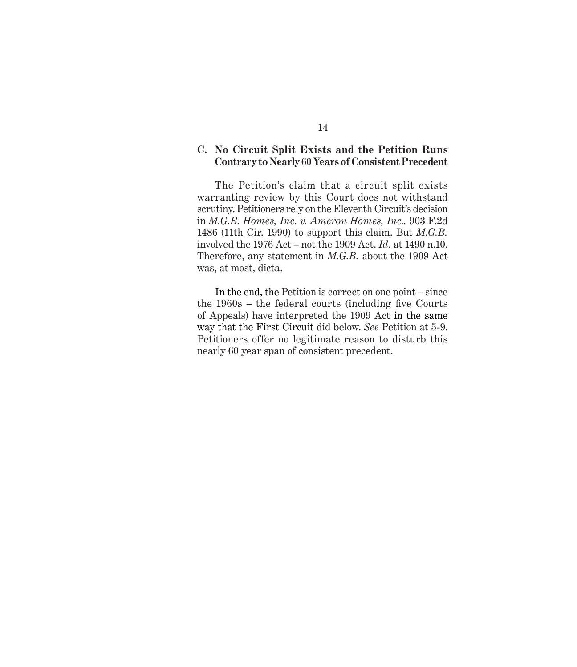#### **C. No Circuit Split Exists and the Petition Runs Contrary to Nearly 60 Years of Consistent Precedent**

The Petition's claim that a circuit split exists warranting review by this Court does not withstand scrutiny. Petitioners rely on the Eleventh Circuit's decision in *M.G.B. Homes, Inc. v. Ameron Homes, Inc.,* 903 F.2d 1486 (11th Cir. 1990) to support this claim. But *M.G.B.* involved the 1976 Act – not the 1909 Act. *Id.* at 1490 n.10. Therefore, any statement in *M.G.B.* about the 1909 Act was, at most, dicta.

In the end, the Petition is correct on one point – since the 1960s – the federal courts (including five Courts of Appeals) have interpreted the 1909 Act in the same way that the First Circuit did below. *See* Petition at 5-9. Petitioners offer no legitimate reason to disturb this nearly 60 year span of consistent precedent.